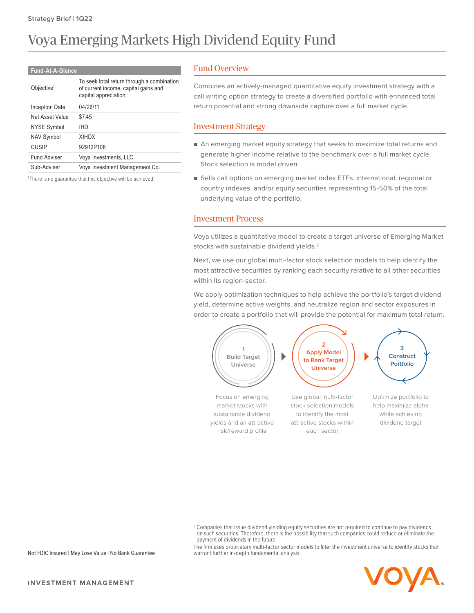# Voya Emerging Markets High Dividend Equity Fund

#### **Fund-At-A-Glance**

| Objective <sup>1</sup> | To seek total return through a combination<br>of current income, capital gains and<br>capital appreciation |
|------------------------|------------------------------------------------------------------------------------------------------------|
| Inception Date         | 04/26/11                                                                                                   |
| Net Asset Value        | \$7.45                                                                                                     |
| NYSE Symbol            | <b>IHD</b>                                                                                                 |
| <b>NAV Symbol</b>      | <b>XIHDX</b>                                                                                               |
| <b>CUSIP</b>           | 92912P108                                                                                                  |
| <b>Fund Adviser</b>    | Voya Investments, LLC.                                                                                     |
| Sub-Adviser            | Voya Investment Management Co.                                                                             |
|                        |                                                                                                            |

<sup>1</sup>There is no guarantee that this objective will be achieved.

# Fund Overview

Combines an actively-managed quantitative equity investment strategy with a call writing option strategy to create a diversified portfolio with enhanced total return potential and strong downside capture over a full market cycle.

### Investment Strategy

- An emerging market equity strategy that seeks to maximize total returns and generate higher income relative to the benchmark over a full market cycle. Stock selection is model driven.
- Sells call options on emerging market index ETFs, international, regional or country indexes, and/or equity securities representing 15-50% of the total underlying value of the portfolio.

# Investment Process

Voya utilizes a quantitative model to create a target universe of Emerging Market stocks with sustainable dividend yields.2

Next, we use our global multi-factor stock selection models to help identify the most attractive securities by ranking each security relative to all other securities within its region-sector.

We apply optimization techniques to help achieve the portfolio's target dividend yield, determine active weights, and neutralize region and sector exposures in order to create a portfolio that will provide the potential for maximum total return.



The firm uses proprietary multi-factor sector models to filter the investment universe to identify stocks that warrant further in-depth fundamental analysis.



Not FDIC Insured | May Lose Value | No Bank Guarantee

 $^2$  Companies that issue dividend yielding equity securities are not required to continue to pay dividends on such securities. Therefore, there is the possibility that such companies could reduce or eliminate the payment of dividends in the future.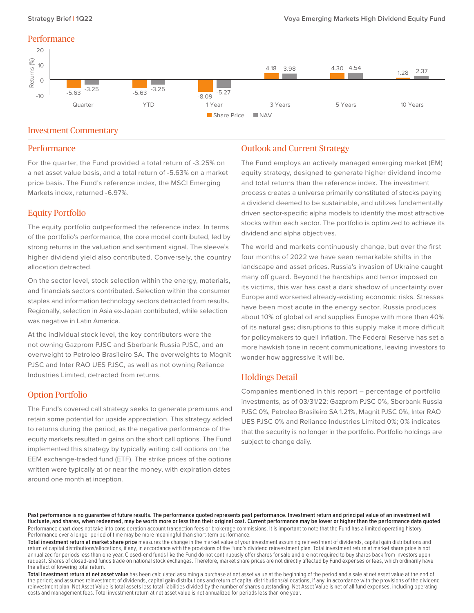#### **Performance**



#### Investment Commentary

#### **Performance**

For the quarter, the Fund provided a total return of -3.25% on a net asset value basis, and a total return of -5.63% on a market price basis. The Fund's reference index, the MSCI Emerging Markets index, returned -6.97%.

#### Equity Portfolio

The equity portfolio outperformed the reference index. In terms of the portfolio's performance, the core model contributed, led by strong returns in the valuation and sentiment signal. The sleeve's higher dividend yield also contributed. Conversely, the country allocation detracted.

On the sector level, stock selection within the energy, materials, and financials sectors contributed. Selection within the consumer staples and information technology sectors detracted from results. Regionally, selection in Asia ex-Japan contributed, while selection was negative in Latin America.

At the individual stock level, the key contributors were the not owning Gazprom PJSC and Sberbank Russia PJSC, and an overweight to Petroleo Brasileiro SA. The overweights to Magnit PJSC and Inter RAO UES PJSC, as well as not owning Reliance Industries Limited, detracted from returns.

### Option Portfolio

The Fund's covered call strategy seeks to generate premiums and retain some potential for upside appreciation. This strategy added to returns during the period, as the negative performance of the equity markets resulted in gains on the short call options. The Fund implemented this strategy by typically writing call options on the EEM exchange-traded fund (ETF). The strike prices of the options written were typically at or near the money, with expiration dates around one month at inception.

# Outlook and Current Strategy

The Fund employs an actively managed emerging market (EM) equity strategy, designed to generate higher dividend income and total returns than the reference index. The investment process creates a universe primarily constituted of stocks paying a dividend deemed to be sustainable, and utilizes fundamentally driven sector-specific alpha models to identify the most attractive stocks within each sector. The portfolio is optimized to achieve its dividend and alpha objectives.

The world and markets continuously change, but over the first four months of 2022 we have seen remarkable shifts in the landscape and asset prices. Russia's invasion of Ukraine caught many off guard. Beyond the hardships and terror imposed on its victims, this war has cast a dark shadow of uncertainty over Europe and worsened already-existing economic risks. Stresses have been most acute in the energy sector. Russia produces about 10% of global oil and supplies Europe with more than 40% of its natural gas; disruptions to this supply make it more difficult for policymakers to quell inflation. The Federal Reserve has set a more hawkish tone in recent communications, leaving investors to wonder how aggressive it will be.

#### Holdings Detail

Companies mentioned in this report – percentage of portfolio investments, as of 03/31/22: Gazprom PJSC 0%, Sberbank Russia PJSC 0%, Petroleo Brasileiro SA 1.21%, Magnit PJSC 0%, Inter RAO UES PJSC 0% and Reliance Industries Limited 0%; 0% indicates that the security is no longer in the portfolio. Portfolio holdings are subject to change daily.

Past performance is no quarantee of future results. The performance quoted represents past performance. Investment return and principal value of an investment will **fluctuate, and shares, when redeemed, may be worth more or less than their original cost. Current performance may be lower or higher than the performance data quoted**. Performance chart does not take into consideration account transaction fees or brokerage commissions. It is important to note that the Fund has a limited operating history. Performance over a longer period of time may be more meaningful than short-term performance.

**Total investment return at market share price** measures the change in the market value of your investment assuming reinvestment of dividends, capital gain distributions and return of capital distributions/allocations, if any, in accordance with the provisions of the Fund's dividend reinvestment plan. Total investment return at market share price is not annualized for periods less than one year. Closed-end funds like the Fund do not continuously offer shares for sale and are not required to buy shares back from investors upon request. Shares of closed-end funds trade on national stock exchanges. Therefore, market share prices are not directly affected by Fund expenses or fees, which ordinarily have the effect of lowering total return.

**Total investment return at net asset value** has been calculated assuming a purchase at net asset value at the beginning of the period and a sale at net asset value at the end of the period; and assumes reinvestment of dividends, capital gain distributions and return of capital distributions/allocations, if any, in accordance with the provisions of the dividend reinvestment plan. Net Asset Value is total assets less total liabilities divided by the number of shares outstanding. Net Asset Value is net of all fund expenses, including operating costs and management fees. Total investment return at net asset value is not annualized for periods less than one year.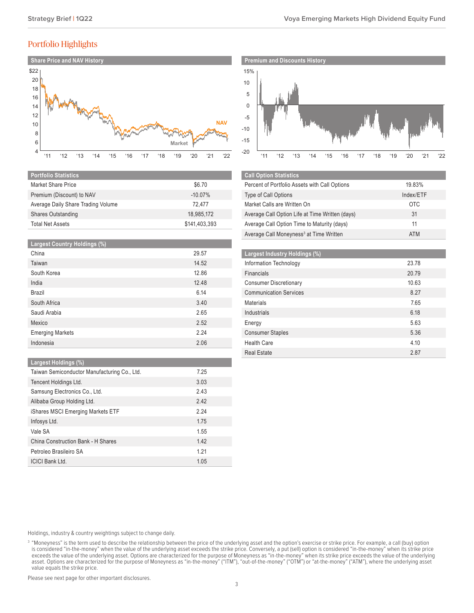# Portfolio Highlights



| <b>Portfolio Statistics</b>        |               |
|------------------------------------|---------------|
| Market Share Price                 | \$6.70        |
| Premium (Discount) to NAV          | $-10.07\%$    |
| Average Daily Share Trading Volume | 72.477        |
| <b>Shares Outstanding</b>          | 18,985,172    |
| <b>Total Net Assets</b>            | \$141,403,393 |

| <b>Largest Country Holdings (%)</b> |       |
|-------------------------------------|-------|
| China                               | 29.57 |
| Taiwan                              | 14.52 |
| South Korea                         | 12.86 |
| India                               | 12.48 |
| <b>Brazil</b>                       | 6.14  |
| South Africa                        | 3.40  |
| Saudi Arabia                        | 2.65  |
| Mexico                              | 2.52  |
| <b>Emerging Markets</b>             | 2.24  |
| Indonesia                           | 2.06  |

#### **Largest Holdings (%)**

| Taiwan Semiconductor Manufacturing Co., Ltd. | 7.25 |
|----------------------------------------------|------|
| Tencent Holdings Ltd.                        | 3.03 |
| Samsung Electronics Co., Ltd.                | 2.43 |
| Alibaba Group Holding Ltd.                   | 2.42 |
| iShares MSCI Emerging Markets ETF            | 2.24 |
| Infosys Ltd.                                 | 1.75 |
| Vale SA                                      | 1.55 |
| China Construction Bank - H Shares           | 1.42 |
| Petroleo Brasileiro SA                       | 1.21 |
| <b>ICICI Bank Ltd.</b>                       | 1.05 |



| <b>Call Option Statistics</b>                       |            |
|-----------------------------------------------------|------------|
| Percent of Portfolio Assets with Call Options       | 19.83%     |
| <b>Type of Call Options</b>                         | Index/ETF  |
| Market Calls are Written On                         | <b>OTC</b> |
| Average Call Option Life at Time Written (days)     | 31         |
| Average Call Option Time to Maturity (days)         | 11         |
| Average Call Moneyness <sup>3</sup> at Time Written | <b>ATM</b> |

| Largest Industry Holdings (%) |       |
|-------------------------------|-------|
| Information Technology        | 23.78 |
| Financials                    | 20.79 |
| <b>Consumer Discretionary</b> | 10.63 |
| <b>Communication Services</b> | 8.27  |
| <b>Materials</b>              | 7.65  |
| Industrials                   | 6.18  |
| Energy                        | 5.63  |
| <b>Consumer Staples</b>       | 5.36  |
| <b>Health Care</b>            | 4.10  |
| <b>Real Estate</b>            | 2.87  |

Holdings, industry & country weightings subject to change daily.

Please see next page for other important disclosures.

<sup>&</sup>lt;sup>3</sup> "Moneyness" is the term used to describe the relationship between the price of the underlying asset and the option's exercise or strike price. For example, a call (buy) option is considered "in-the-money" when the value of the underlying asset exceeds the strike price. Conversely, a put (sell) option is considered "in-the-money" when its strike price exceeds the value of the underlying asset. Options are characterized for the purpose of Moneyness as "in-the-money" when its strike price exceeds the value of the underlying asset. Options are characterized for the purpose of Moneyness as "in-the-money" ("ITM"), "out-of-the-money" ("OTM") or "at-the-money" ("ATM"), where the underlying asset value equals the strike price.